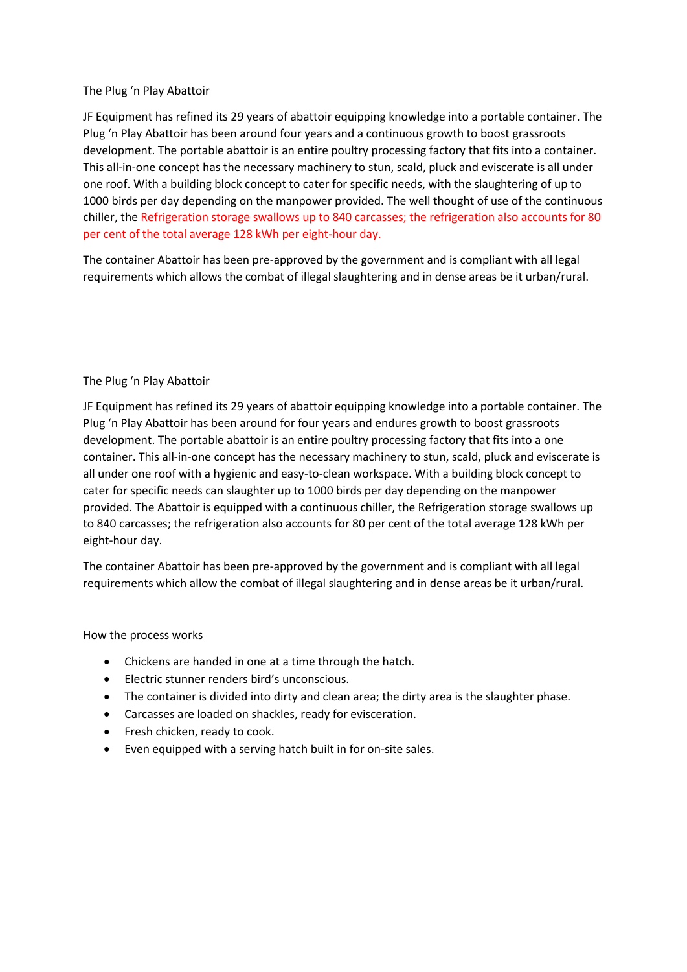## The Plug 'n Play Abattoir

JF Equipment has refined its 29 years of abattoir equipping knowledge into a portable container. The Plug 'n Play Abattoir has been around four years and a continuous growth to boost grassroots development. The portable abattoir is an entire poultry processing factory that fits into a container. This all-in-one concept has the necessary machinery to stun, scald, pluck and eviscerate is all under one roof. With a building block concept to cater for specific needs, with the slaughtering of up to 1000 birds per day depending on the manpower provided. The well thought of use of the continuous chiller, the Refrigeration storage swallows up to 840 carcasses; the refrigeration also accounts for 80 per cent of the total average 128 kWh per eight-hour day.

The container Abattoir has been pre-approved by the government and is compliant with all legal requirements which allows the combat of illegal slaughtering and in dense areas be it urban/rural.

## The Plug 'n Play Abattoir

JF Equipment has refined its 29 years of abattoir equipping knowledge into a portable container. The Plug 'n Play Abattoir has been around for four years and endures growth to boost grassroots development. The portable abattoir is an entire poultry processing factory that fits into a one container. This all-in-one concept has the necessary machinery to stun, scald, pluck and eviscerate is all under one roof with a hygienic and easy-to-clean workspace. With a building block concept to cater for specific needs can slaughter up to 1000 birds per day depending on the manpower provided. The Abattoir is equipped with a continuous chiller, the Refrigeration storage swallows up to 840 carcasses; the refrigeration also accounts for 80 per cent of the total average 128 kWh per eight-hour day.

The container Abattoir has been pre-approved by the government and is compliant with all legal requirements which allow the combat of illegal slaughtering and in dense areas be it urban/rural.

## How the process works

- Chickens are handed in one at a time through the hatch.
- Electric stunner renders bird's unconscious.
- The container is divided into dirty and clean area; the dirty area is the slaughter phase.
- Carcasses are loaded on shackles, ready for evisceration.
- Fresh chicken, ready to cook.
- Even equipped with a serving hatch built in for on-site sales.